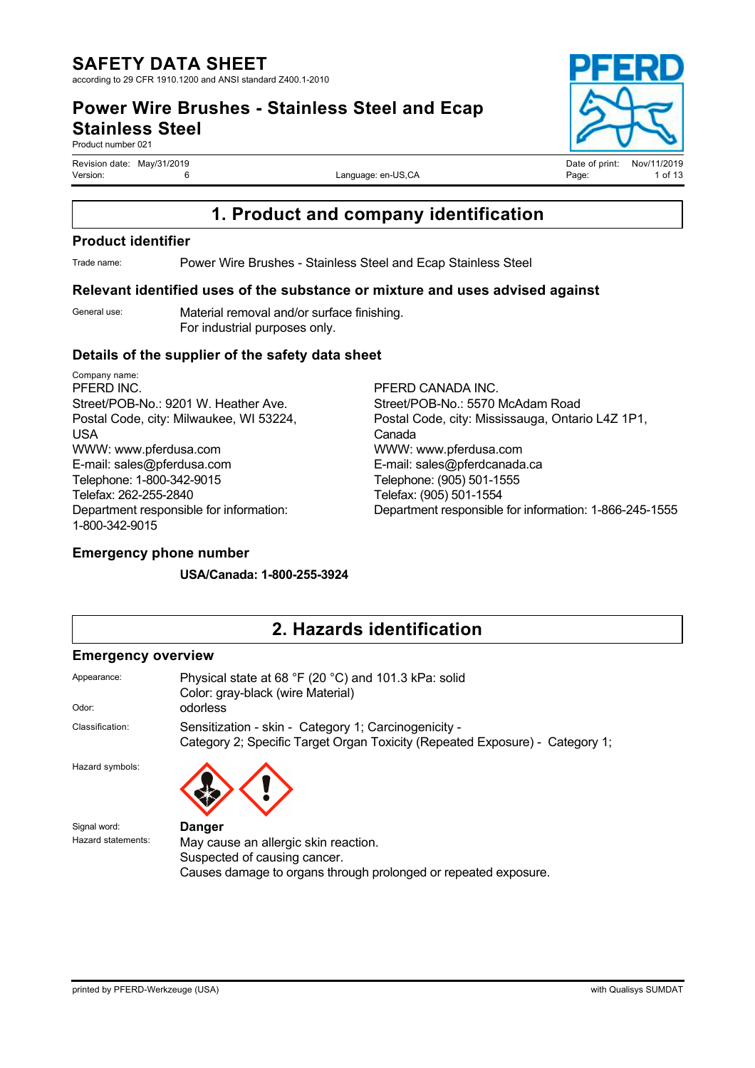**Power Wire Brushes - Stainless Steel and Ecap Stainless Steel**

Product number 021

Language: en-US,CA

# **1. Product and company identification**

#### **Product identifier**

Trade name: Power Wire Brushes - Stainless Steel and Ecap Stainless Steel

#### **Relevant identified uses of the substance or mixture and uses advised against**

General use: Material removal and/or surface finishing. For industrial purposes only.

#### **Details of the supplier of the safety data sheet**

Company name: PFERD INC. Street/POB-No.: 9201 W. Heather Ave. Postal Code, city: Milwaukee, WI 53224, USA WWW: www.pferdusa.com E-mail: sales@pferdusa.com Telephone: 1-800-342-9015 Telefax: 262-255-2840 Department responsible for information: 1-800-342-9015

PFERD CANADA INC. Street/POB-No.: 5570 McAdam Road Postal Code, city: Mississauga, Ontario L4Z 1P1, Canada WWW: www.pferdusa.com E-mail: sales@pferdcanada.ca Telephone: (905) 501-1555 Telefax: (905) 501-1554 Department responsible for information: 1-866-245-1555

### **Emergency phone number**

**USA/Canada: 1-800-255-3924**

## **2. Hazards identification**

#### **Emergency overview**

| Appearance:        | Physical state at 68 °F (20 °C) and 101.3 kPa: solid<br>Color: gray-black (wire Material)                                            |
|--------------------|--------------------------------------------------------------------------------------------------------------------------------------|
| Odor:              | odorless                                                                                                                             |
| Classification:    | Sensitization - skin - Category 1; Carcinogenicity -<br>Category 2; Specific Target Organ Toxicity (Repeated Exposure) - Category 1; |
| Hazard symbols:    |                                                                                                                                      |
| Signal word:       | <b>Danger</b>                                                                                                                        |
| Hazard statements: | May cause an allergic skin reaction.                                                                                                 |
|                    | Suspected of causing cancer.                                                                                                         |
|                    | Causes damage to organs through prolonged or repeated exposure.                                                                      |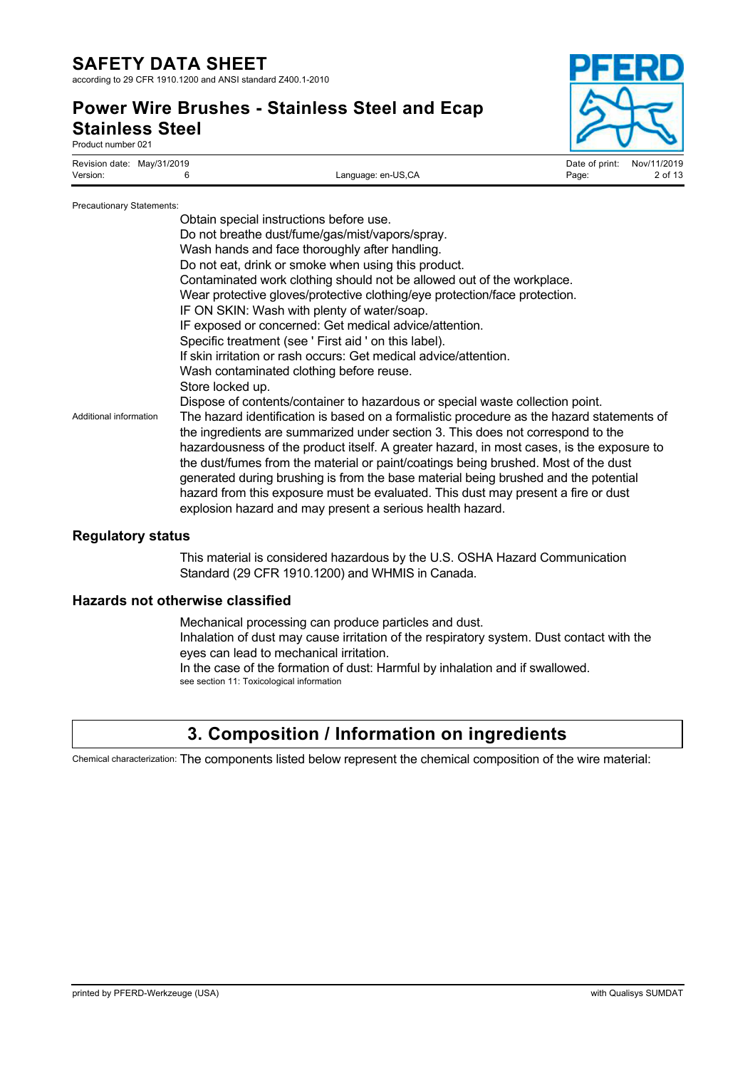according to 29 CFR 1910.1200 and ANSI standard Z400.1-2010

### **Power Wire Brushes - Stainless Steel and Ecap Stainless Steel** Product number 021

| Revision date: May/31/2019 | Date of print:              | Nov/11/2019 |
|----------------------------|-----------------------------|-------------|
| Version:                   | Language: en-US,CA<br>Page: | 2 of 13     |

#### Precautionary Statements:

| Obtain special instructions before use.                                                                                                                                                                                                                                                                                                                                                                                                                                                                                                                                                                 |
|---------------------------------------------------------------------------------------------------------------------------------------------------------------------------------------------------------------------------------------------------------------------------------------------------------------------------------------------------------------------------------------------------------------------------------------------------------------------------------------------------------------------------------------------------------------------------------------------------------|
| Do not breathe dust/fume/gas/mist/vapors/spray.                                                                                                                                                                                                                                                                                                                                                                                                                                                                                                                                                         |
| Wash hands and face thoroughly after handling.                                                                                                                                                                                                                                                                                                                                                                                                                                                                                                                                                          |
| Do not eat, drink or smoke when using this product.                                                                                                                                                                                                                                                                                                                                                                                                                                                                                                                                                     |
| Contaminated work clothing should not be allowed out of the workplace.                                                                                                                                                                                                                                                                                                                                                                                                                                                                                                                                  |
| Wear protective gloves/protective clothing/eye protection/face protection.                                                                                                                                                                                                                                                                                                                                                                                                                                                                                                                              |
| IF ON SKIN: Wash with plenty of water/soap.                                                                                                                                                                                                                                                                                                                                                                                                                                                                                                                                                             |
| IF exposed or concerned: Get medical advice/attention.                                                                                                                                                                                                                                                                                                                                                                                                                                                                                                                                                  |
| Specific treatment (see ' First aid ' on this label).                                                                                                                                                                                                                                                                                                                                                                                                                                                                                                                                                   |
| If skin irritation or rash occurs: Get medical advice/attention.                                                                                                                                                                                                                                                                                                                                                                                                                                                                                                                                        |
| Wash contaminated clothing before reuse.                                                                                                                                                                                                                                                                                                                                                                                                                                                                                                                                                                |
| Store locked up.                                                                                                                                                                                                                                                                                                                                                                                                                                                                                                                                                                                        |
| Dispose of contents/container to hazardous or special waste collection point.                                                                                                                                                                                                                                                                                                                                                                                                                                                                                                                           |
| The hazard identification is based on a formalistic procedure as the hazard statements of<br>the ingredients are summarized under section 3. This does not correspond to the<br>hazardousness of the product itself. A greater hazard, in most cases, is the exposure to<br>the dust/fumes from the material or paint/coatings being brushed. Most of the dust<br>generated during brushing is from the base material being brushed and the potential<br>hazard from this exposure must be evaluated. This dust may present a fire or dust<br>explosion hazard and may present a serious health hazard. |
|                                                                                                                                                                                                                                                                                                                                                                                                                                                                                                                                                                                                         |

### **Regulatory status**

This material is considered hazardous by the U.S. OSHA Hazard Communication Standard (29 CFR 1910.1200) and WHMIS in Canada.

#### **Hazards not otherwise classified**

Mechanical processing can produce particles and dust. Inhalation of dust may cause irritation of the respiratory system. Dust contact with the eyes can lead to mechanical irritation. In the case of the formation of dust: Harmful by inhalation and if swallowed. see section 11: Toxicological information

## **3. Composition / Information on ingredients**

Chemical characterization: The components listed below represent the chemical composition of the wire material: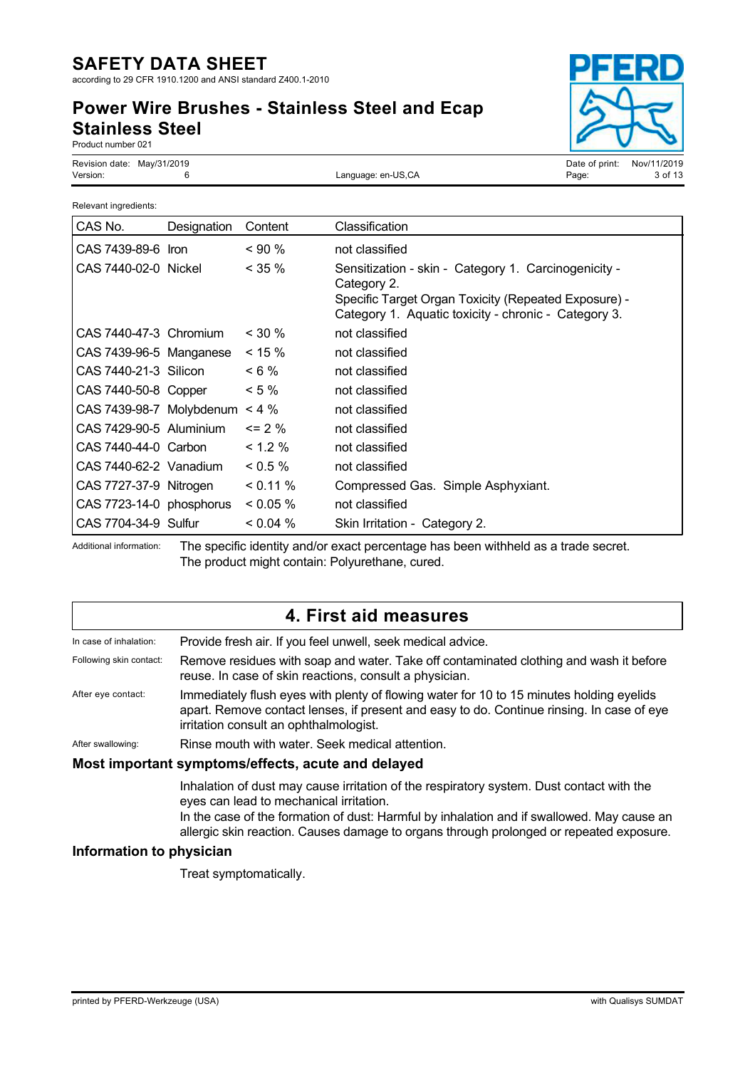according to 29 CFR 1910.1200 and ANSI standard Z400.1-2010

# **Power Wire Brushes - Stainless Steel and Ecap Stainless Steel**



Product number 021

Revision date: May/31/2019<br>
Version: Campunge: en-US,CA Date of print: Nov/11/2019<br>
Version: 3 of 13

Language: en-US,CA

| Relevant ingredients:    |             |            |                                                                                                                                                                                     |
|--------------------------|-------------|------------|-------------------------------------------------------------------------------------------------------------------------------------------------------------------------------------|
| CAS No.                  | Designation | Content    | Classification                                                                                                                                                                      |
| CAS 7439-89-6 Iron       |             | ~100%      | not classified                                                                                                                                                                      |
| CAS 7440-02-0 Nickel     |             | $<$ 35 %   | Sensitization - skin - Category 1. Carcinogenicity -<br>Category 2.<br>Specific Target Organ Toxicity (Repeated Exposure) -<br>Category 1. Aquatic toxicity - chronic - Category 3. |
| CAS 7440-47-3 Chromium   |             | $<$ 30 %   | not classified                                                                                                                                                                      |
| CAS 7439-96-5 Manganese  |             | $< 15 \%$  | not classified                                                                                                                                                                      |
| CAS 7440-21-3 Silicon    |             | $< 6\%$    | not classified                                                                                                                                                                      |
| CAS 7440-50-8 Copper     |             | $< 5 \%$   | not classified                                                                                                                                                                      |
| CAS 7439-98-7 Molybdenum |             | $< 4 \%$   | not classified                                                                                                                                                                      |
| CAS 7429-90-5 Aluminium  |             | $\leq$ 2 % | not classified                                                                                                                                                                      |
| CAS 7440-44-0 Carbon     |             | $< 1.2 \%$ | not classified                                                                                                                                                                      |
| CAS 7440-62-2 Vanadium   |             | $0.5\%$    | not classified                                                                                                                                                                      |
| CAS 7727-37-9 Nitrogen   |             | < 0.11 %   | Compressed Gas. Simple Asphyxiant.                                                                                                                                                  |
| CAS 7723-14-0 phosphorus |             | $0.05\%$   | not classified                                                                                                                                                                      |
| CAS 7704-34-9 Sulfur     |             | $0.04\%$   | Skin Irritation - Category 2.                                                                                                                                                       |

Additional information: The specific identity and/or exact percentage has been withheld as a trade secret. The product might contain: Polyurethane, cured.

|                          | 4. First aid measures                                                                                                                                                                                                                                                                                                        |
|--------------------------|------------------------------------------------------------------------------------------------------------------------------------------------------------------------------------------------------------------------------------------------------------------------------------------------------------------------------|
| In case of inhalation:   | Provide fresh air. If you feel unwell, seek medical advice.                                                                                                                                                                                                                                                                  |
| Following skin contact:  | Remove residues with soap and water. Take off contaminated clothing and wash it before<br>reuse. In case of skin reactions, consult a physician.                                                                                                                                                                             |
| After eye contact:       | Immediately flush eyes with plenty of flowing water for 10 to 15 minutes holding eyelids<br>apart. Remove contact lenses, if present and easy to do. Continue rinsing. In case of eye<br>irritation consult an ophthalmologist.                                                                                              |
| After swallowing:        | Rinse mouth with water. Seek medical attention.                                                                                                                                                                                                                                                                              |
|                          | Most important symptoms/effects, acute and delayed                                                                                                                                                                                                                                                                           |
|                          | Inhalation of dust may cause irritation of the respiratory system. Dust contact with the<br>eyes can lead to mechanical irritation.<br>In the case of the formation of dust: Harmful by inhalation and if swallowed. May cause an<br>allergic skin reaction. Causes damage to organs through prolonged or repeated exposure. |
| Information to physician |                                                                                                                                                                                                                                                                                                                              |

#### **Information to physician**

Treat symptomatically.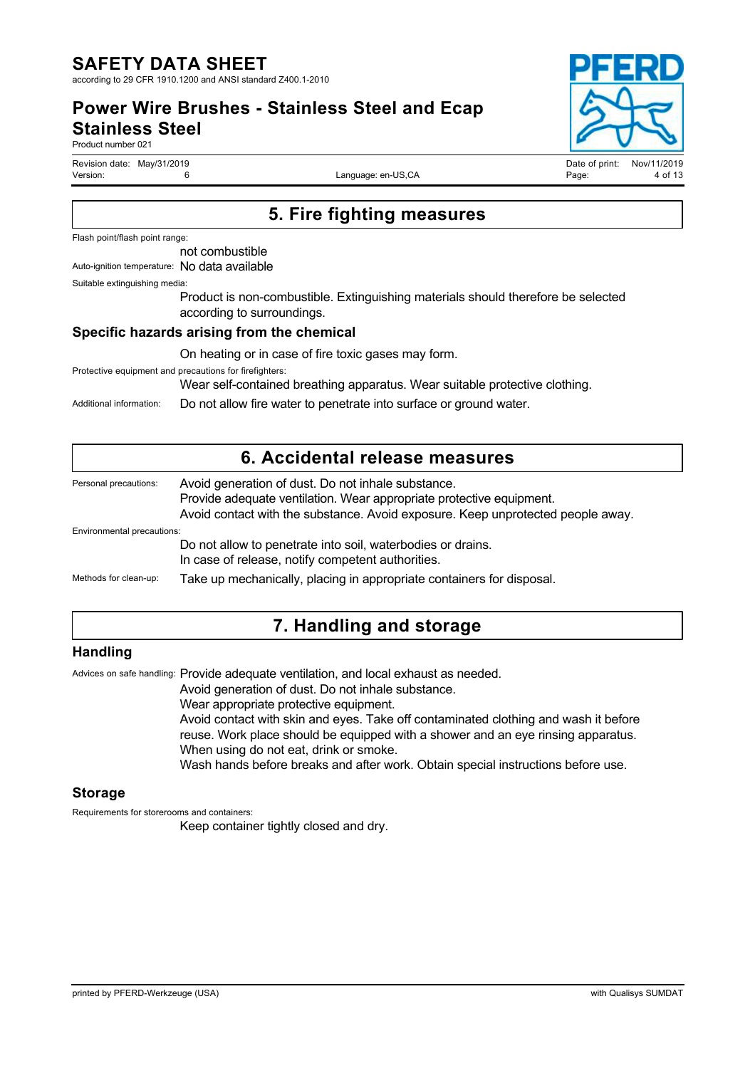**Power Wire Brushes - Stainless Steel and Ecap Stainless Steel**

Product number 021

Revision date: May/31/2019<br>Version: Campus Controller Controller Moving Date of print: Nov/11/2019<br>Page: 4 of 13

Language: en-US,CA

# **5. Fire fighting measures**

Flash point/flash point range:

not combustible

Auto-ignition temperature: No data available

Suitable extinguishing media:

Product is non-combustible. Extinguishing materials should therefore be selected according to surroundings.

#### **Specific hazards arising from the chemical**

On heating or in case of fire toxic gases may form.

Protective equipment and precautions for firefighters:

Wear self-contained breathing apparatus. Wear suitable protective clothing.

Additional information: Do not allow fire water to penetrate into surface or ground water.

|                            | 6. Accidental release measures                                                                                                                                                                                |
|----------------------------|---------------------------------------------------------------------------------------------------------------------------------------------------------------------------------------------------------------|
| Personal precautions:      | Avoid generation of dust. Do not inhale substance.<br>Provide adequate ventilation. Wear appropriate protective equipment.<br>Avoid contact with the substance. Avoid exposure. Keep unprotected people away. |
| Environmental precautions: |                                                                                                                                                                                                               |
|                            | Do not allow to penetrate into soil, waterbodies or drains.<br>In case of release, notify competent authorities.                                                                                              |
| Methods for clean-up:      | Take up mechanically, placing in appropriate containers for disposal.                                                                                                                                         |
|                            |                                                                                                                                                                                                               |

### **7. Handling and storage**

### **Handling**

Advices on safe handling: Provide adequate ventilation, and local exhaust as needed.

Avoid generation of dust. Do not inhale substance.

Wear appropriate protective equipment.

Avoid contact with skin and eyes. Take off contaminated clothing and wash it before reuse. Work place should be equipped with a shower and an eye rinsing apparatus. When using do not eat, drink or smoke.

Wash hands before breaks and after work. Obtain special instructions before use.

#### **Storage**

Requirements for storerooms and containers:

Keep container tightly closed and dry.

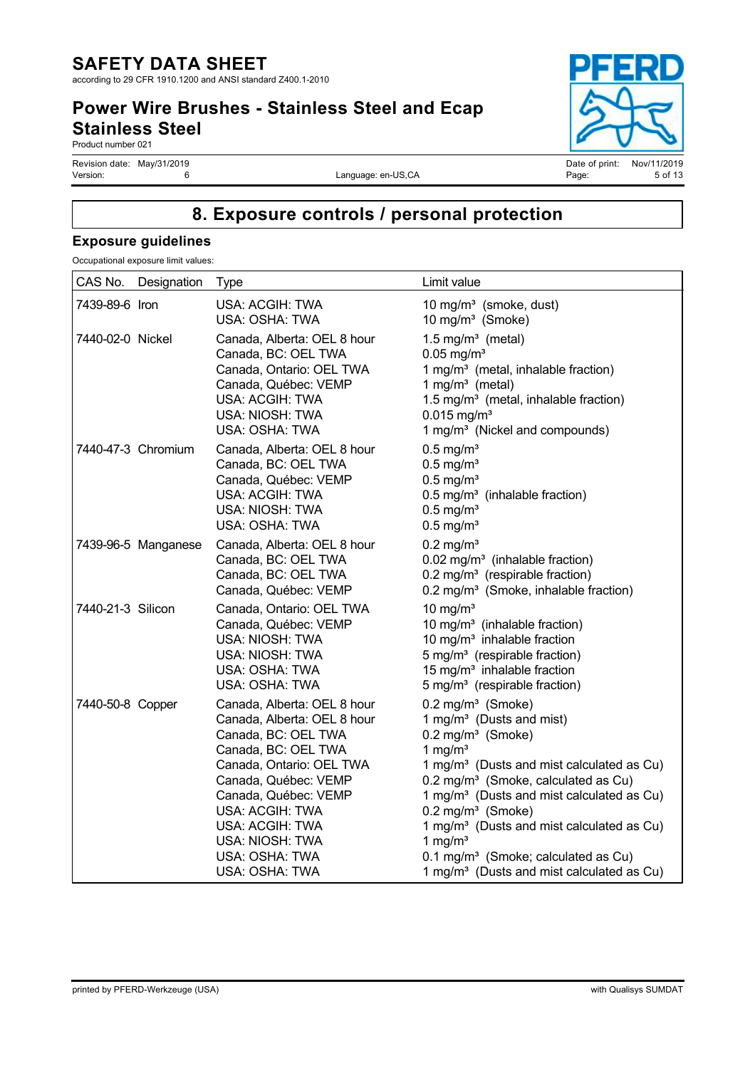### **Power Wire Brushes - Stainless Steel and Ecap Stainless Steel**

Product number 021

Revision date: May/31/2019 Date of print: Nov/11/2019

Language: en-US,CA

# **8. Exposure controls / personal protection**

### **Exposure guidelines**

Occupational exposure limit values:

| CAS No.           | Designation         | Type                                                                                                                                                                                                                                                                              | Limit value                                                                                                                                                                                                                                                                                                                                                                                                                                                                                            |
|-------------------|---------------------|-----------------------------------------------------------------------------------------------------------------------------------------------------------------------------------------------------------------------------------------------------------------------------------|--------------------------------------------------------------------------------------------------------------------------------------------------------------------------------------------------------------------------------------------------------------------------------------------------------------------------------------------------------------------------------------------------------------------------------------------------------------------------------------------------------|
| 7439-89-6 Iron    |                     | USA: ACGIH: TWA<br>USA: OSHA: TWA                                                                                                                                                                                                                                                 | 10 mg/m <sup>3</sup> (smoke, dust)<br>10 mg/m <sup>3</sup> (Smoke)                                                                                                                                                                                                                                                                                                                                                                                                                                     |
| 7440-02-0 Nickel  |                     | Canada, Alberta: OEL 8 hour<br>Canada, BC: OEL TWA<br>Canada, Ontario: OEL TWA<br>Canada, Québec: VEMP<br>USA: ACGIH: TWA<br>USA: NIOSH: TWA<br>USA: OSHA: TWA                                                                                                                    | 1.5 mg/ $m3$ (metal)<br>$0.05$ mg/m <sup>3</sup><br>1 mg/m <sup>3</sup> (metal, inhalable fraction)<br>1 mg/m $3$ (metal)<br>1.5 mg/m <sup>3</sup> (metal, inhalable fraction)<br>$0.015$ mg/m <sup>3</sup><br>1 mg/m <sup>3</sup> (Nickel and compounds)                                                                                                                                                                                                                                              |
|                   | 7440-47-3 Chromium  | Canada, Alberta: OEL 8 hour<br>Canada, BC: OEL TWA<br>Canada, Québec: VEMP<br>USA: ACGIH: TWA<br>USA: NIOSH: TWA<br>USA: OSHA: TWA                                                                                                                                                | $0.5$ mg/m <sup>3</sup><br>$0.5$ mg/m <sup>3</sup><br>$0.5$ mg/m <sup>3</sup><br>$0.5$ mg/m <sup>3</sup> (inhalable fraction)<br>$0.5$ mg/m <sup>3</sup><br>$0.5$ mg/m <sup>3</sup>                                                                                                                                                                                                                                                                                                                    |
|                   | 7439-96-5 Manganese | Canada, Alberta: OEL 8 hour<br>Canada, BC: OEL TWA<br>Canada, BC: OEL TWA<br>Canada, Québec: VEMP                                                                                                                                                                                 | $0.2$ mg/m <sup>3</sup><br>0.02 mg/m <sup>3</sup> (inhalable fraction)<br>0.2 mg/m <sup>3</sup> (respirable fraction)<br>0.2 mg/m <sup>3</sup> (Smoke, inhalable fraction)                                                                                                                                                                                                                                                                                                                             |
| 7440-21-3 Silicon |                     | Canada, Ontario: OEL TWA<br>Canada, Québec: VEMP<br>USA: NIOSH: TWA<br>USA: NIOSH: TWA<br>USA: OSHA: TWA<br>USA: OSHA: TWA                                                                                                                                                        | 10 mg/ $m3$<br>10 mg/m <sup>3</sup> (inhalable fraction)<br>10 mg/m <sup>3</sup> inhalable fraction<br>5 mg/m <sup>3</sup> (respirable fraction)<br>15 mg/m <sup>3</sup> inhalable fraction<br>5 mg/m <sup>3</sup> (respirable fraction)                                                                                                                                                                                                                                                               |
| 7440-50-8 Copper  |                     | Canada, Alberta: OEL 8 hour<br>Canada, Alberta: OEL 8 hour<br>Canada, BC: OEL TWA<br>Canada, BC: OEL TWA<br>Canada, Ontario: OEL TWA<br>Canada, Québec: VEMP<br>Canada, Québec: VEMP<br>USA: ACGIH: TWA<br>USA: ACGIH: TWA<br>USA: NIOSH: TWA<br>USA: OSHA: TWA<br>USA: OSHA: TWA | 0.2 mg/m <sup>3</sup> (Smoke)<br>1 mg/m <sup>3</sup> (Dusts and mist)<br>0.2 mg/m <sup>3</sup> (Smoke)<br>1 mg/ $m3$<br>1 mg/m <sup>3</sup> (Dusts and mist calculated as Cu)<br>0.2 mg/m <sup>3</sup> (Smoke, calculated as Cu)<br>1 mg/m <sup>3</sup> (Dusts and mist calculated as Cu)<br>$0.2$ mg/m $3$ (Smoke)<br>1 mg/m <sup>3</sup> (Dusts and mist calculated as Cu)<br>1 mg/ $m3$<br>0.1 mg/m <sup>3</sup> (Smoke; calculated as Cu)<br>1 mg/m <sup>3</sup> (Dusts and mist calculated as Cu) |

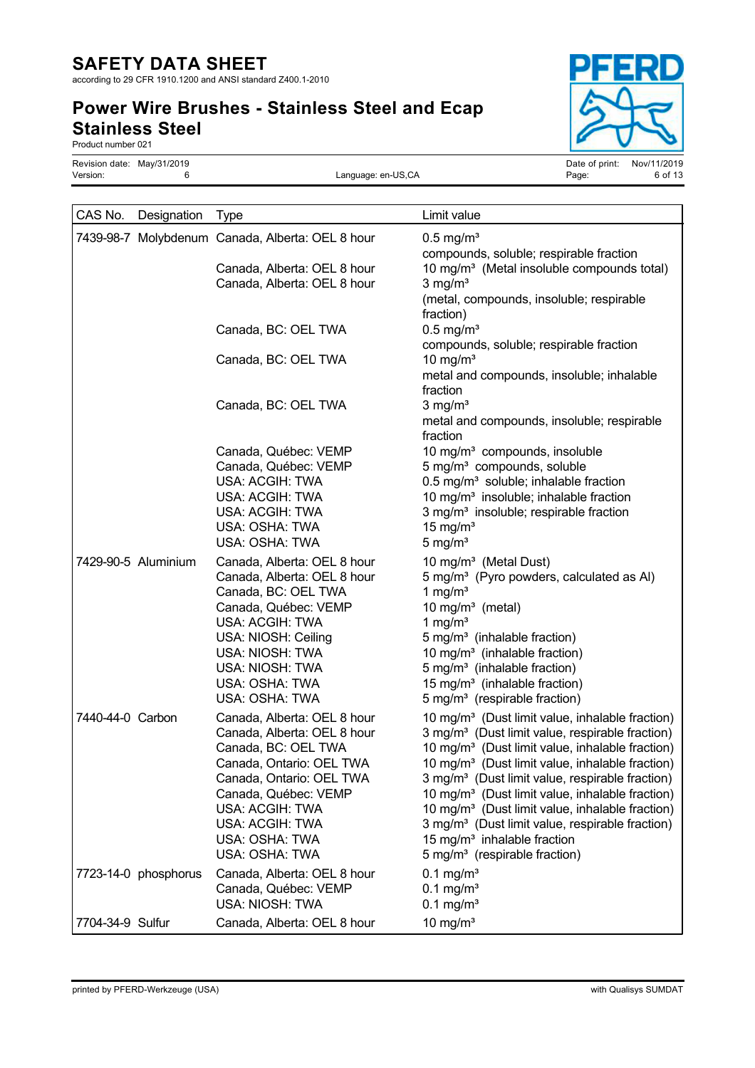according to 29 CFR 1910.1200 and ANSI standard Z400.1-2010

# **Power Wire Brushes - Stainless Steel and Ecap Stainless Steel**



Product number 021

Language: en-US,CA

Revision date: May/31/2019<br>
Version: Nov/11/2019 6 Contract Contract Contract Contract Contract Contract Contract Contract Contract Contr<br>
Date of print: Nov/11/2019 6 of 13

| CAS No.          | Designation          | Type                                                                                                                                                                                                                                        | Limit value                                                                                                                                                                                                                                                                                                                                                                                                                                                                                                                                                                                                  |
|------------------|----------------------|---------------------------------------------------------------------------------------------------------------------------------------------------------------------------------------------------------------------------------------------|--------------------------------------------------------------------------------------------------------------------------------------------------------------------------------------------------------------------------------------------------------------------------------------------------------------------------------------------------------------------------------------------------------------------------------------------------------------------------------------------------------------------------------------------------------------------------------------------------------------|
|                  |                      | 7439-98-7 Molybdenum Canada, Alberta: OEL 8 hour                                                                                                                                                                                            | $0.5$ mg/m <sup>3</sup><br>compounds, soluble; respirable fraction                                                                                                                                                                                                                                                                                                                                                                                                                                                                                                                                           |
|                  |                      | Canada, Alberta: OEL 8 hour<br>Canada, Alberta: OEL 8 hour                                                                                                                                                                                  | 10 mg/m <sup>3</sup> (Metal insoluble compounds total)<br>$3$ mg/m <sup>3</sup><br>(metal, compounds, insoluble; respirable                                                                                                                                                                                                                                                                                                                                                                                                                                                                                  |
|                  |                      | Canada, BC: OEL TWA                                                                                                                                                                                                                         | fraction)<br>$0.5$ mg/m <sup>3</sup><br>compounds, soluble; respirable fraction                                                                                                                                                                                                                                                                                                                                                                                                                                                                                                                              |
|                  |                      | Canada, BC: OEL TWA                                                                                                                                                                                                                         | 10 mg/ $m3$<br>metal and compounds, insoluble; inhalable<br>fraction                                                                                                                                                                                                                                                                                                                                                                                                                                                                                                                                         |
|                  |                      | Canada, BC: OEL TWA                                                                                                                                                                                                                         | $3$ mg/m <sup>3</sup><br>metal and compounds, insoluble; respirable<br>fraction                                                                                                                                                                                                                                                                                                                                                                                                                                                                                                                              |
|                  |                      | Canada, Québec: VEMP<br>Canada, Québec: VEMP<br>USA: ACGIH: TWA<br>USA: ACGIH: TWA<br>USA: ACGIH: TWA<br>USA: OSHA: TWA<br>USA: OSHA: TWA                                                                                                   | 10 mg/m <sup>3</sup> compounds, insoluble<br>5 mg/m <sup>3</sup> compounds, soluble<br>0.5 mg/m <sup>3</sup> soluble; inhalable fraction<br>10 mg/m <sup>3</sup> insoluble; inhalable fraction<br>3 mg/m <sup>3</sup> insoluble; respirable fraction<br>15 mg/ $m3$<br>$5 \text{ mg/m}^3$                                                                                                                                                                                                                                                                                                                    |
|                  | 7429-90-5 Aluminium  | Canada, Alberta: OEL 8 hour<br>Canada, Alberta: OEL 8 hour<br>Canada, BC: OEL TWA<br>Canada, Québec: VEMP<br>USA: ACGIH: TWA<br>USA: NIOSH: Ceiling<br>USA: NIOSH: TWA<br>USA: NIOSH: TWA<br>USA: OSHA: TWA<br>USA: OSHA: TWA               | 10 mg/m <sup>3</sup> (Metal Dust)<br>5 mg/m <sup>3</sup> (Pyro powders, calculated as Al)<br>1 mg/ $m3$<br>10 mg/ $m3$ (metal)<br>1 mg/ $m3$<br>5 mg/m <sup>3</sup> (inhalable fraction)<br>10 mg/m <sup>3</sup> (inhalable fraction)<br>5 mg/m <sup>3</sup> (inhalable fraction)<br>15 mg/m <sup>3</sup> (inhalable fraction)<br>5 mg/m <sup>3</sup> (respirable fraction)                                                                                                                                                                                                                                  |
| 7440-44-0 Carbon |                      | Canada, Alberta: OEL 8 hour<br>Canada, Alberta: OEL 8 hour<br>Canada, BC: OEL TWA<br>Canada, Ontario: OEL TWA<br>Canada, Ontario: OEL TWA<br>Canada, Québec: VEMP<br>USA: ACGIH: TWA<br>USA: ACGIH: TWA<br>USA: OSHA: TWA<br>USA: OSHA: TWA | 10 mg/m <sup>3</sup> (Dust limit value, inhalable fraction)<br>3 mg/m <sup>3</sup> (Dust limit value, respirable fraction)<br>10 mg/m <sup>3</sup> (Dust limit value, inhalable fraction)<br>10 mg/m <sup>3</sup> (Dust limit value, inhalable fraction)<br>3 mg/m <sup>3</sup> (Dust limit value, respirable fraction)<br>10 mg/m <sup>3</sup> (Dust limit value, inhalable fraction)<br>10 mg/m <sup>3</sup> (Dust limit value, inhalable fraction)<br>3 mg/m <sup>3</sup> (Dust limit value, respirable fraction)<br>15 mg/m <sup>3</sup> inhalable fraction<br>5 mg/m <sup>3</sup> (respirable fraction) |
|                  | 7723-14-0 phosphorus | Canada, Alberta: OEL 8 hour<br>Canada, Québec: VEMP<br>USA: NIOSH: TWA                                                                                                                                                                      | $0.1 \,\mathrm{mg/m^3}$<br>$0.1$ mg/m <sup>3</sup><br>$0.1$ mg/m <sup>3</sup>                                                                                                                                                                                                                                                                                                                                                                                                                                                                                                                                |
| 7704-34-9 Sulfur |                      | Canada, Alberta: OEL 8 hour                                                                                                                                                                                                                 | 10 mg/ $m3$                                                                                                                                                                                                                                                                                                                                                                                                                                                                                                                                                                                                  |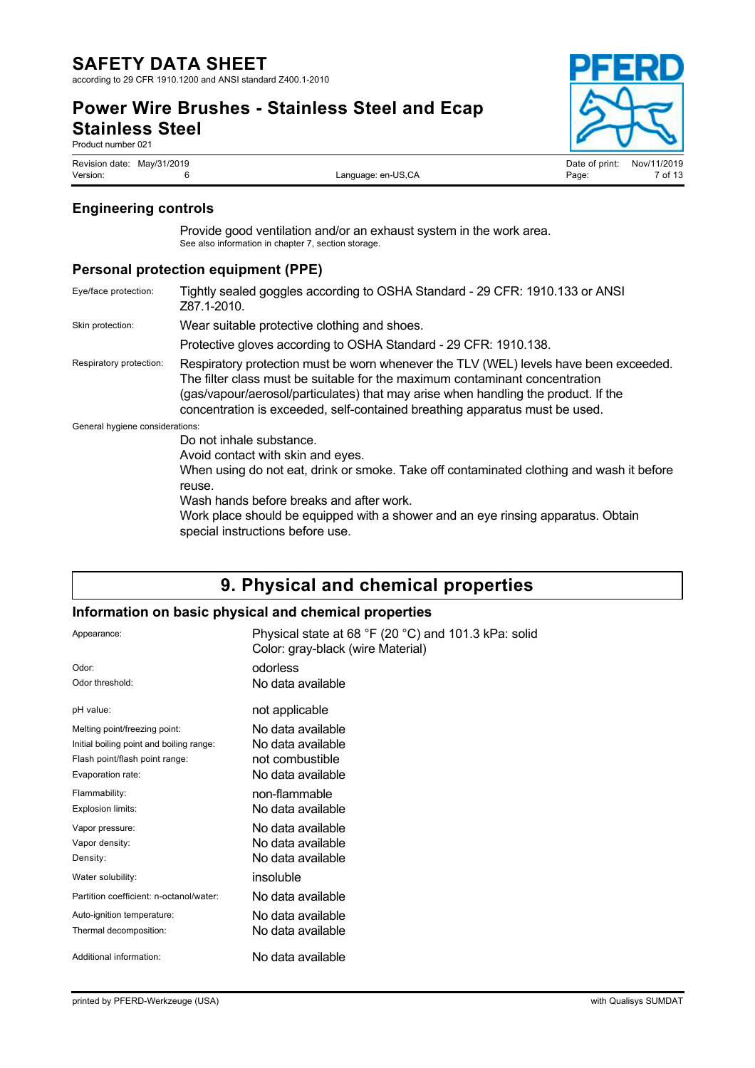### **Power Wire Brushes - Stainless Steel and Ecap Stainless Steel**

Product number 021

Revision date: May/31/2019<br>
Version: Campus Campus Control Control Control Campus Control Control Control Control Control Control Control<br>
Version: 7 of 13

### **Engineering controls**

Provide good ventilation and/or an exhaust system in the work area. See also information in chapter 7, section storage.

### **Personal protection equipment (PPE)**

| Eye/face protection:            | Tightly sealed goggles according to OSHA Standard - 29 CFR: 1910.133 or ANSI<br>Z87.1-2010.                                                                                                                                                                                                                                               |
|---------------------------------|-------------------------------------------------------------------------------------------------------------------------------------------------------------------------------------------------------------------------------------------------------------------------------------------------------------------------------------------|
| Skin protection:                | Wear suitable protective clothing and shoes.                                                                                                                                                                                                                                                                                              |
|                                 | Protective gloves according to OSHA Standard - 29 CFR: 1910.138.                                                                                                                                                                                                                                                                          |
| Respiratory protection:         | Respiratory protection must be worn whenever the TLV (WEL) levels have been exceeded.<br>The filter class must be suitable for the maximum contaminant concentration<br>(gas/vapour/aerosol/particulates) that may arise when handling the product. If the<br>concentration is exceeded, self-contained breathing apparatus must be used. |
| General hygiene considerations: |                                                                                                                                                                                                                                                                                                                                           |
|                                 | Do not inhale substance.                                                                                                                                                                                                                                                                                                                  |
|                                 | Avoid contact with skin and eyes.                                                                                                                                                                                                                                                                                                         |
|                                 | When using do not eat, drink or smoke. Take off contaminated clothing and wash it before<br>reuse.                                                                                                                                                                                                                                        |
|                                 | Wash hands before breaks and after work.                                                                                                                                                                                                                                                                                                  |
|                                 | Work place should be equipped with a shower and an eye rinsing apparatus. Obtain<br>special instructions before use.                                                                                                                                                                                                                      |

## **9. Physical and chemical properties**

### **Information on basic physical and chemical properties**

| Appearance:                              | Physical state at 68 °F (20 °C) and 101.3 kPa: solid<br>Color: gray-black (wire Material) |
|------------------------------------------|-------------------------------------------------------------------------------------------|
| Odor:                                    | odorless                                                                                  |
| Odor threshold:                          | No data available                                                                         |
| pH value:                                | not applicable                                                                            |
| Melting point/freezing point:            | No data available                                                                         |
| Initial boiling point and boiling range: | No data available                                                                         |
| Flash point/flash point range:           | not combustible                                                                           |
| Evaporation rate:                        | No data available                                                                         |
| Flammability:                            | non-flammable                                                                             |
| Explosion limits:                        | No data available                                                                         |
| Vapor pressure:                          | No data available                                                                         |
| Vapor density:                           | No data available                                                                         |
| Density:                                 | No data available                                                                         |
| Water solubility:                        | insoluble                                                                                 |
| Partition coefficient: n-octanol/water:  | No data available                                                                         |
| Auto-ignition temperature:               | No data available                                                                         |
| Thermal decomposition:                   | No data available                                                                         |
| Additional information:                  | No data available                                                                         |

Language: en-US,CA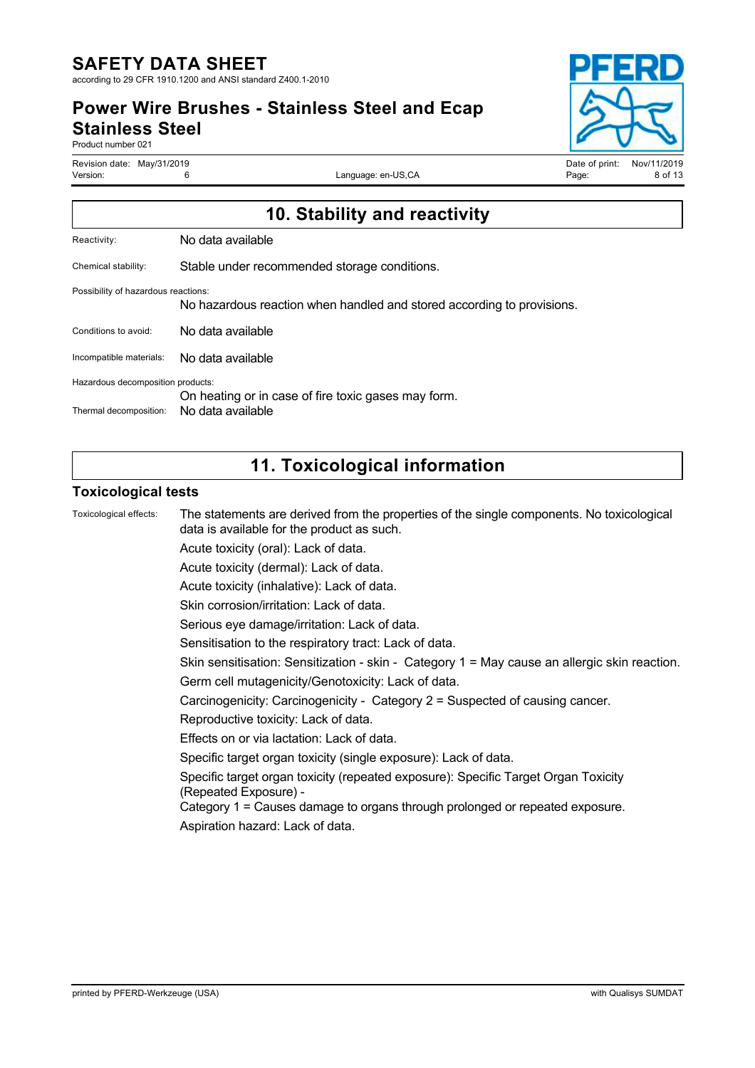**Power Wire Brushes - Stainless Steel and Ecap Stainless Steel**

Product number 021

Revision date: May/31/2019 Date of print: Nov/11/2019

Language: en-US,CA



| 10. Stability and reactivity                                                                                  |                                                                          |  |  |
|---------------------------------------------------------------------------------------------------------------|--------------------------------------------------------------------------|--|--|
| Reactivity:                                                                                                   | No data available                                                        |  |  |
| Chemical stability:                                                                                           | Stable under recommended storage conditions.                             |  |  |
| Possibility of hazardous reactions:<br>No hazardous reaction when handled and stored according to provisions. |                                                                          |  |  |
| Conditions to avoid:                                                                                          | No data available                                                        |  |  |
| Incompatible materials:                                                                                       | No data available                                                        |  |  |
| Hazardous decomposition products:<br>Thermal decomposition:                                                   | On heating or in case of fire toxic gases may form.<br>No data available |  |  |
|                                                                                                               |                                                                          |  |  |

# **11. Toxicological information**

### **Toxicological tests**

| Toxicological effects: | The statements are derived from the properties of the single components. No toxicological<br>data is available for the product as such. |
|------------------------|-----------------------------------------------------------------------------------------------------------------------------------------|
|                        | Acute toxicity (oral): Lack of data.                                                                                                    |
|                        | Acute toxicity (dermal): Lack of data.                                                                                                  |
|                        | Acute toxicity (inhalative): Lack of data.                                                                                              |
|                        | Skin corrosion/irritation: Lack of data.                                                                                                |
|                        | Serious eye damage/irritation: Lack of data.                                                                                            |
|                        | Sensitisation to the respiratory tract: Lack of data.                                                                                   |
|                        | Skin sensitisation: Sensitization - skin - Category 1 = May cause an allergic skin reaction.                                            |
|                        | Germ cell mutagenicity/Genotoxicity: Lack of data.                                                                                      |
|                        | Carcinogenicity: Carcinogenicity - Category 2 = Suspected of causing cancer.                                                            |
|                        | Reproductive toxicity: Lack of data.                                                                                                    |
|                        | Effects on or via lactation: Lack of data.                                                                                              |
|                        | Specific target organ toxicity (single exposure): Lack of data.                                                                         |
|                        | Specific target organ toxicity (repeated exposure): Specific Target Organ Toxicity<br>(Repeated Exposure) -                             |
|                        | Category 1 = Causes damage to organs through prolonged or repeated exposure.                                                            |
|                        | Aspiration hazard: Lack of data.                                                                                                        |
|                        |                                                                                                                                         |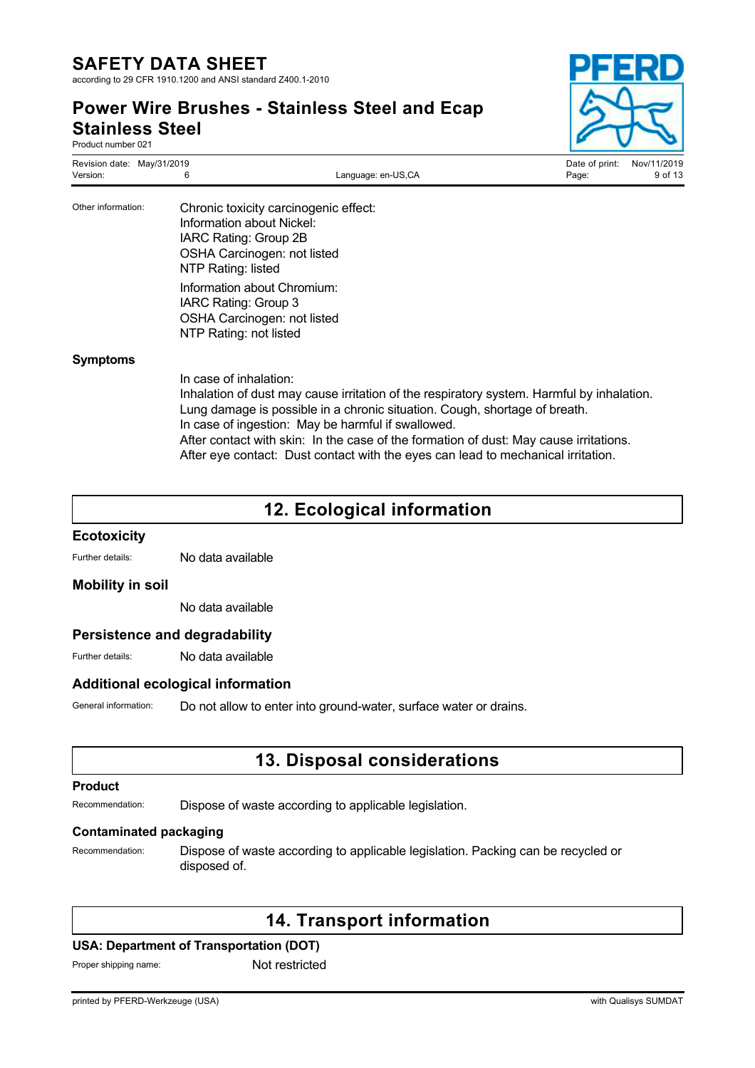**Power Wire Brushes - Stainless Steel and Ecap Stainless Steel**

> OSHA Carcinogen: not listed NTP Rating: not listed

| o.uooo o.oo.<br>Product number 021     |                                                                                                         |                                       |                         |                        |
|----------------------------------------|---------------------------------------------------------------------------------------------------------|---------------------------------------|-------------------------|------------------------|
| Revision date: May/31/2019<br>Version: | 6                                                                                                       | Language: en-US,CA                    | Date of print:<br>Page: | Nov/11/2019<br>9 of 13 |
| Other information:                     | Information about Nickel:<br>IARC Rating: Group 2B<br>OSHA Carcinogen: not listed<br>NTP Rating: listed | Chronic toxicity carcinogenic effect: |                         |                        |
|                                        | Information about Chromium:<br>IARC Rating: Group 3                                                     |                                       |                         |                        |

#### **Symptoms**

In case of inhalation: Inhalation of dust may cause irritation of the respiratory system. Harmful by inhalation. Lung damage is possible in a chronic situation. Cough, shortage of breath. In case of ingestion: May be harmful if swallowed. After contact with skin: In the case of the formation of dust: May cause irritations. After eye contact: Dust contact with the eyes can lead to mechanical irritation.

## **12. Ecological information**

# **Ecotoxicity**

Further details: No data available

#### **Mobility in soil**

No data available

#### **Persistence and degradability**

Further details: No data available

#### **Additional ecological information**

General information: Do not allow to enter into ground-water, surface water or drains.

### **13. Disposal considerations**

#### **Product**

Recommendation: Dispose of waste according to applicable legislation.

#### **Contaminated packaging**

Recommendation: Dispose of waste according to applicable legislation. Packing can be recycled or disposed of.

### **14. Transport information**

#### **USA: Department of Transportation (DOT)**

Proper shipping name: Not restricted

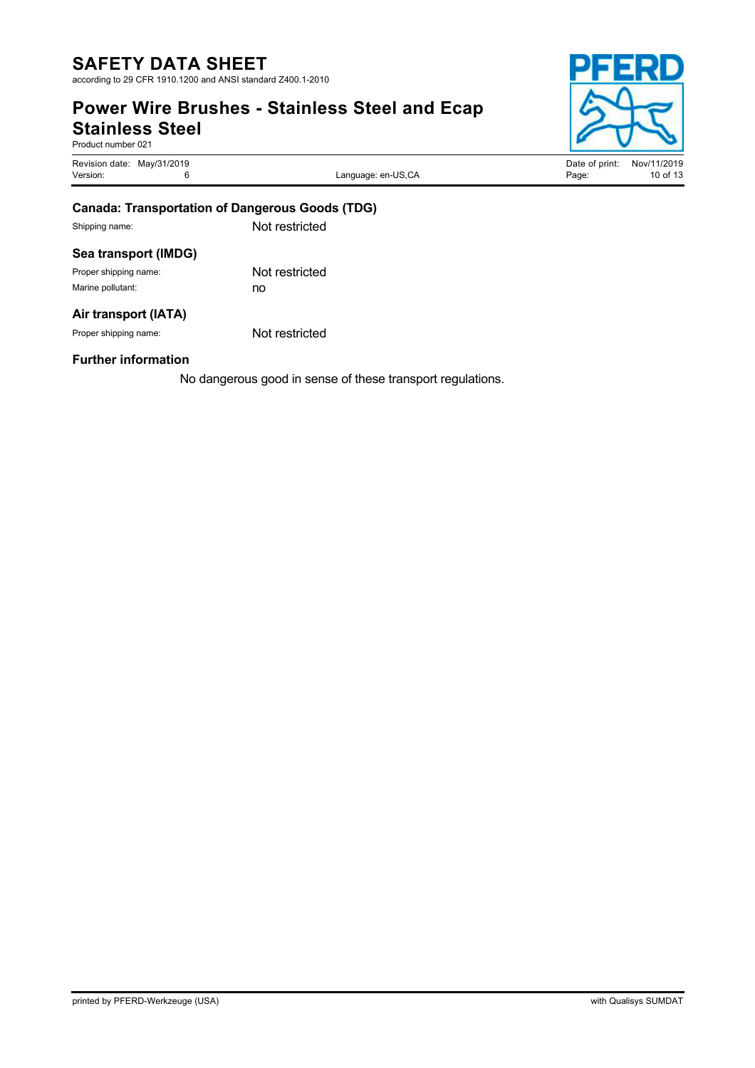according to 29 CFR 1910.1200 and ANSI standard Z400.1-2010

### **Power Wire Brushes - Stainless Steel and Ecap Stainless Steel**

Product number 021

Revision date: May/31/2019<br>
Version: Campunge: en-US,CA Date of print: Nov/11/2019<br>
Version: 10 of 13

Language: en-US,CA



| Canada: Transportation of Dangerous Coode (TDC) |  |
|-------------------------------------------------|--|

## **Canada: Transportation of Dangerous Goods (TDG)**

Shipping name: Not restricted

### **Sea transport (IMDG)**

Proper shipping name: Not restricted Marine pollutant: no

### **Air transport (IATA)**

Proper shipping name: Not restricted

### **Further information**

No dangerous good in sense of these transport regulations.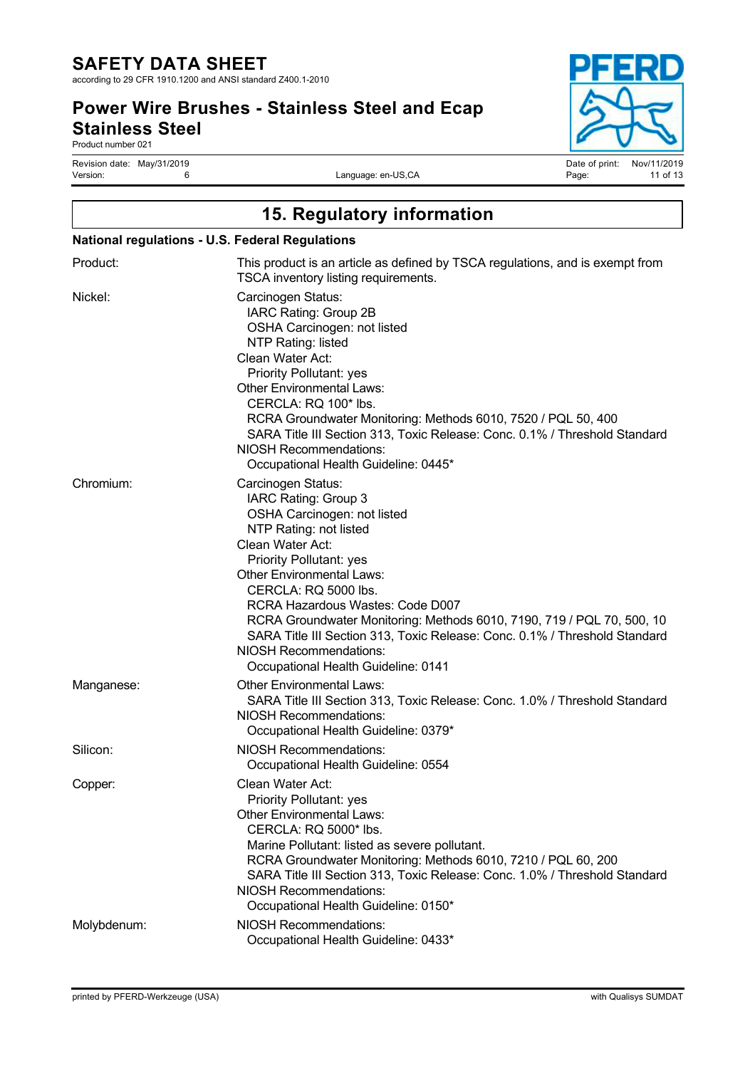according to 29 CFR 1910.1200 and ANSI standard Z400.1-2010

### **Power Wire Brushes - Stainless Steel and Ecap Stainless Steel**

Product number 021

Revision date: May/31/2019 Date of print: Nov/11/2019

Language: en-US,CA

| 15. Regulatory information<br><b>National regulations - U.S. Federal Regulations</b> |                                                                                                                                                                                                                                                                                                                                                                                                                                                                                           |  |  |  |
|--------------------------------------------------------------------------------------|-------------------------------------------------------------------------------------------------------------------------------------------------------------------------------------------------------------------------------------------------------------------------------------------------------------------------------------------------------------------------------------------------------------------------------------------------------------------------------------------|--|--|--|
|                                                                                      |                                                                                                                                                                                                                                                                                                                                                                                                                                                                                           |  |  |  |
| Nickel:                                                                              | Carcinogen Status:<br>IARC Rating: Group 2B<br>OSHA Carcinogen: not listed<br>NTP Rating: listed<br>Clean Water Act:<br><b>Priority Pollutant: yes</b><br><b>Other Environmental Laws:</b><br>CERCLA: RQ 100* lbs.<br>RCRA Groundwater Monitoring: Methods 6010, 7520 / PQL 50, 400<br>SARA Title III Section 313, Toxic Release: Conc. 0.1% / Threshold Standard<br>NIOSH Recommendations:<br>Occupational Health Guideline: 0445*                                                       |  |  |  |
| Chromium:                                                                            | Carcinogen Status:<br>IARC Rating: Group 3<br>OSHA Carcinogen: not listed<br>NTP Rating: not listed<br>Clean Water Act:<br><b>Priority Pollutant: yes</b><br><b>Other Environmental Laws:</b><br>CERCLA: RQ 5000 lbs.<br>RCRA Hazardous Wastes: Code D007<br>RCRA Groundwater Monitoring: Methods 6010, 7190, 719 / PQL 70, 500, 10<br>SARA Title III Section 313, Toxic Release: Conc. 0.1% / Threshold Standard<br><b>NIOSH Recommendations:</b><br>Occupational Health Guideline: 0141 |  |  |  |
| Manganese:                                                                           | <b>Other Environmental Laws:</b><br>SARA Title III Section 313, Toxic Release: Conc. 1.0% / Threshold Standard<br>NIOSH Recommendations:<br>Occupational Health Guideline: 0379*                                                                                                                                                                                                                                                                                                          |  |  |  |
| Silicon:                                                                             | <b>NIOSH Recommendations:</b><br>Occupational Health Guideline: 0554                                                                                                                                                                                                                                                                                                                                                                                                                      |  |  |  |
| Copper:                                                                              | Clean Water Act:<br><b>Priority Pollutant: yes</b><br><b>Other Environmental Laws:</b><br>CERCLA: RQ 5000* lbs.<br>Marine Pollutant: listed as severe pollutant.<br>RCRA Groundwater Monitoring: Methods 6010, 7210 / PQL 60, 200<br>SARA Title III Section 313, Toxic Release: Conc. 1.0% / Threshold Standard<br><b>NIOSH Recommendations:</b><br>Occupational Health Guideline: 0150*                                                                                                  |  |  |  |
| Molybdenum:                                                                          | <b>NIOSH Recommendations:</b><br>Occupational Health Guideline: 0433*                                                                                                                                                                                                                                                                                                                                                                                                                     |  |  |  |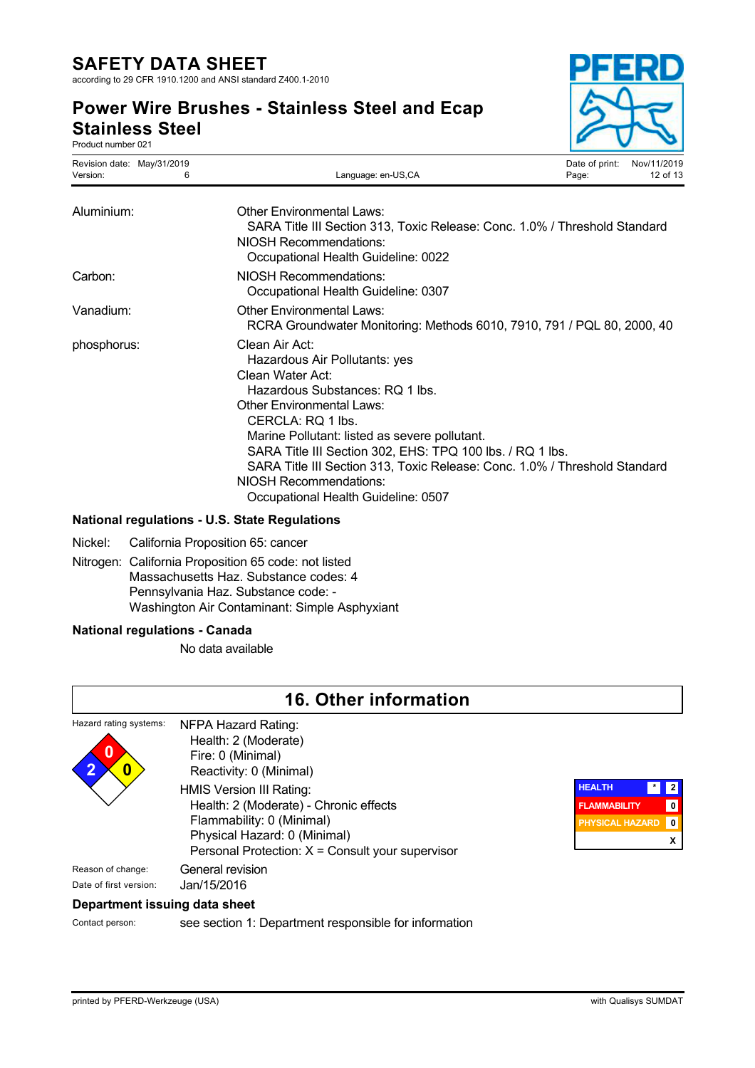according to 29 CFR 1910.1200 and ANSI standard Z400.1-2010

### **Power Wire Brushes - Stainless Steel and Ecap Stainless Steel**

Product number 021



| Revision date: May/31/2019<br>Version:<br>6 | Language: en-US,CA                                                                                                                                                                                                                                                                                                                                                                                                                  | Date of print:<br>Page: | Nov/11/2019<br>12 of 13 |
|---------------------------------------------|-------------------------------------------------------------------------------------------------------------------------------------------------------------------------------------------------------------------------------------------------------------------------------------------------------------------------------------------------------------------------------------------------------------------------------------|-------------------------|-------------------------|
| Aluminium:                                  | <b>Other Environmental Laws:</b><br>SARA Title III Section 313, Toxic Release: Conc. 1.0% / Threshold Standard<br><b>NIOSH Recommendations:</b><br>Occupational Health Guideline: 0022                                                                                                                                                                                                                                              |                         |                         |
| Carbon:                                     | NIOSH Recommendations:<br>Occupational Health Guideline: 0307                                                                                                                                                                                                                                                                                                                                                                       |                         |                         |
| Vanadium:                                   | <b>Other Environmental Laws:</b><br>RCRA Groundwater Monitoring: Methods 6010, 7910, 791 / PQL 80, 2000, 40                                                                                                                                                                                                                                                                                                                         |                         |                         |
| phosphorus:                                 | Clean Air Act:<br>Hazardous Air Pollutants: yes<br>Clean Water Act:<br>Hazardous Substances: RQ 1 lbs.<br><b>Other Environmental Laws:</b><br>CERCLA: RQ 1 lbs.<br>Marine Pollutant: listed as severe pollutant.<br>SARA Title III Section 302, EHS: TPQ 100 lbs. / RQ 1 lbs.<br>SARA Title III Section 313, Toxic Release: Conc. 1.0% / Threshold Standard<br><b>NIOSH Recommendations:</b><br>Occupational Health Guideline: 0507 |                         |                         |

#### **National regulations - U.S. State Regulations**

- Nickel: California Proposition 65: cancer
- Nitrogen: California Proposition 65 code: not listed Massachusetts Haz. Substance codes: 4 Pennsylvania Haz. Substance code: - Washington Air Contaminant: Simple Asphyxiant

#### **National regulations - Canada**

No data available

|                                             | <b>16. Other information</b>                                                                                                                                                        |                                                                                                                     |
|---------------------------------------------|-------------------------------------------------------------------------------------------------------------------------------------------------------------------------------------|---------------------------------------------------------------------------------------------------------------------|
| Hazard rating systems:<br>0                 | NFPA Hazard Rating:<br>Health: 2 (Moderate)<br>Fire: 0 (Minimal)<br>Reactivity: 0 (Minimal)                                                                                         |                                                                                                                     |
|                                             | HMIS Version III Rating:<br>Health: 2 (Moderate) - Chronic effects<br>Flammability: 0 (Minimal)<br>Physical Hazard: 0 (Minimal)<br>Personal Protection: X = Consult your supervisor | <b>HEALTH</b><br>$\cdot$<br>1 2 ا<br>$\pmb{0}$<br><b>FLAMMABILITY</b><br>$\mathbf 0$<br><b>PHYSICAL HAZARD</b><br>X |
| Reason of change:<br>Date of first version: | General revision<br>Jan/15/2016                                                                                                                                                     |                                                                                                                     |
| Department issuing data sheet               |                                                                                                                                                                                     |                                                                                                                     |
| Contact person:                             | see section 1: Department responsible for information                                                                                                                               |                                                                                                                     |